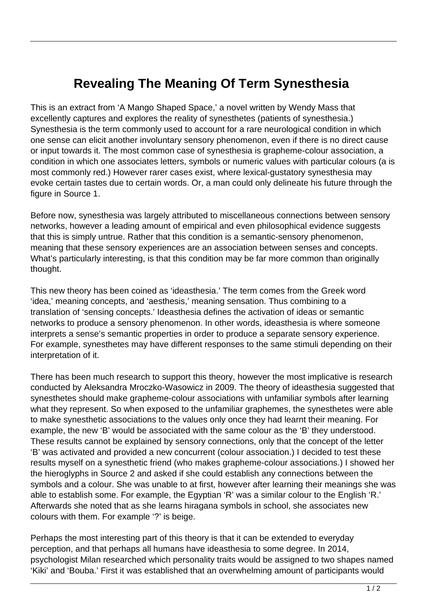## **Revealing The Meaning Of Term Synesthesia**

This is an extract from 'A Mango Shaped Space,' a novel written by Wendy Mass that excellently captures and explores the reality of synesthetes (patients of synesthesia.) Synesthesia is the term commonly used to account for a rare neurological condition in which one sense can elicit another involuntary sensory phenomenon, even if there is no direct cause or input towards it. The most common case of synesthesia is grapheme-colour association, a condition in which one associates letters, symbols or numeric values with particular colours (a is most commonly red.) However rarer cases exist, where lexical-gustatory synesthesia may evoke certain tastes due to certain words. Or, a man could only delineate his future through the figure in Source 1.

Before now, synesthesia was largely attributed to miscellaneous connections between sensory networks, however a leading amount of empirical and even philosophical evidence suggests that this is simply untrue. Rather that this condition is a semantic-sensory phenomenon, meaning that these sensory experiences are an association between senses and concepts. What's particularly interesting, is that this condition may be far more common than originally thought.

This new theory has been coined as 'ideasthesia.' The term comes from the Greek word 'idea,' meaning concepts, and 'aesthesis,' meaning sensation. Thus combining to a translation of 'sensing concepts.' Ideasthesia defines the activation of ideas or semantic networks to produce a sensory phenomenon. In other words, ideasthesia is where someone interprets a sense's semantic properties in order to produce a separate sensory experience. For example, synesthetes may have different responses to the same stimuli depending on their interpretation of it.

There has been much research to support this theory, however the most implicative is research conducted by Aleksandra Mroczko-Wasowicz in 2009. The theory of ideasthesia suggested that synesthetes should make grapheme-colour associations with unfamiliar symbols after learning what they represent. So when exposed to the unfamiliar graphemes, the synesthetes were able to make synesthetic associations to the values only once they had learnt their meaning. For example, the new 'B' would be associated with the same colour as the 'B' they understood. These results cannot be explained by sensory connections, only that the concept of the letter 'B' was activated and provided a new concurrent (colour association.) I decided to test these results myself on a synesthetic friend (who makes grapheme-colour associations.) I showed her the hieroglyphs in Source 2 and asked if she could establish any connections between the symbols and a colour. She was unable to at first, however after learning their meanings she was able to establish some. For example, the Egyptian 'R' was a similar colour to the English 'R.' Afterwards she noted that as she learns hiragana symbols in school, she associates new colours with them. For example '?' is beige.

Perhaps the most interesting part of this theory is that it can be extended to everyday perception, and that perhaps all humans have ideasthesia to some degree. In 2014, psychologist Milan researched which personality traits would be assigned to two shapes named 'Kiki' and 'Bouba.' First it was established that an overwhelming amount of participants would